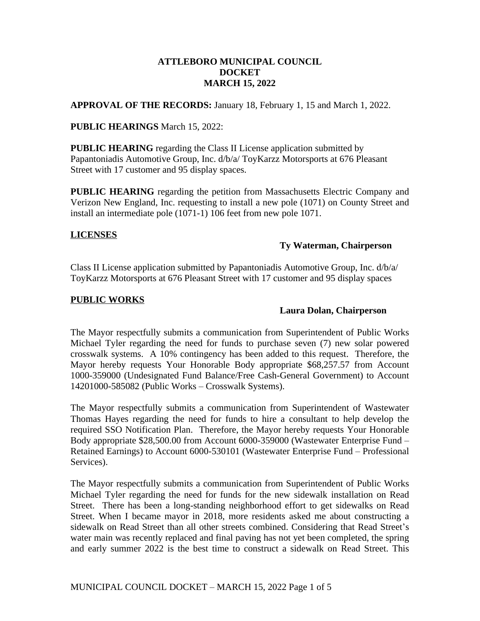## **ATTLEBORO MUNICIPAL COUNCIL DOCKET MARCH 15, 2022**

**APPROVAL OF THE RECORDS:** January 18, February 1, 15 and March 1, 2022.

## **PUBLIC HEARINGS** March 15, 2022:

**PUBLIC HEARING** regarding the Class II License application submitted by Papantoniadis Automotive Group, Inc. d/b/a/ ToyKarzz Motorsports at 676 Pleasant Street with 17 customer and 95 display spaces.

**PUBLIC HEARING** regarding the petition from Massachusetts Electric Company and Verizon New England, Inc. requesting to install a new pole (1071) on County Street and install an intermediate pole (1071-1) 106 feet from new pole 1071.

# **LICENSES**

#### **Ty Waterman, Chairperson**

Class II License application submitted by Papantoniadis Automotive Group, Inc. d/b/a/ ToyKarzz Motorsports at 676 Pleasant Street with 17 customer and 95 display spaces

## **PUBLIC WORKS**

## **Laura Dolan, Chairperson**

The Mayor respectfully submits a communication from Superintendent of Public Works Michael Tyler regarding the need for funds to purchase seven (7) new solar powered crosswalk systems. A 10% contingency has been added to this request. Therefore, the Mayor hereby requests Your Honorable Body appropriate \$68,257.57 from Account 1000-359000 (Undesignated Fund Balance/Free Cash-General Government) to Account 14201000-585082 (Public Works – Crosswalk Systems).

The Mayor respectfully submits a communication from Superintendent of Wastewater Thomas Hayes regarding the need for funds to hire a consultant to help develop the required SSO Notification Plan. Therefore, the Mayor hereby requests Your Honorable Body appropriate \$28,500.00 from Account 6000-359000 (Wastewater Enterprise Fund – Retained Earnings) to Account 6000-530101 (Wastewater Enterprise Fund – Professional Services).

The Mayor respectfully submits a communication from Superintendent of Public Works Michael Tyler regarding the need for funds for the new sidewalk installation on Read Street. There has been a long-standing neighborhood effort to get sidewalks on Read Street. When I became mayor in 2018, more residents asked me about constructing a sidewalk on Read Street than all other streets combined. Considering that Read Street's water main was recently replaced and final paving has not yet been completed, the spring and early summer 2022 is the best time to construct a sidewalk on Read Street. This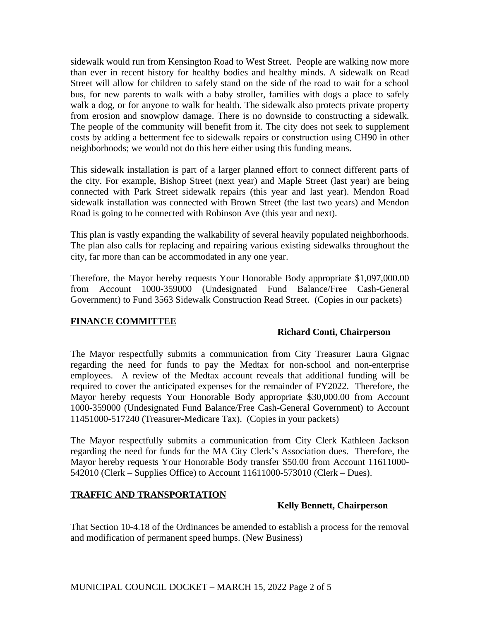sidewalk would run from Kensington Road to West Street. People are walking now more than ever in recent history for healthy bodies and healthy minds. A sidewalk on Read Street will allow for children to safely stand on the side of the road to wait for a school bus, for new parents to walk with a baby stroller, families with dogs a place to safely walk a dog, or for anyone to walk for health. The sidewalk also protects private property from erosion and snowplow damage. There is no downside to constructing a sidewalk. The people of the community will benefit from it. The city does not seek to supplement costs by adding a betterment fee to sidewalk repairs or construction using CH90 in other neighborhoods; we would not do this here either using this funding means.

This sidewalk installation is part of a larger planned effort to connect different parts of the city. For example, Bishop Street (next year) and Maple Street (last year) are being connected with Park Street sidewalk repairs (this year and last year). Mendon Road sidewalk installation was connected with Brown Street (the last two years) and Mendon Road is going to be connected with Robinson Ave (this year and next).

This plan is vastly expanding the walkability of several heavily populated neighborhoods. The plan also calls for replacing and repairing various existing sidewalks throughout the city, far more than can be accommodated in any one year.

Therefore, the Mayor hereby requests Your Honorable Body appropriate \$1,097,000.00 from Account 1000-359000 (Undesignated Fund Balance/Free Cash-General Government) to Fund 3563 Sidewalk Construction Read Street. (Copies in our packets)

# **FINANCE COMMITTEE**

# **Richard Conti, Chairperson**

The Mayor respectfully submits a communication from City Treasurer Laura Gignac regarding the need for funds to pay the Medtax for non-school and non-enterprise employees. A review of the Medtax account reveals that additional funding will be required to cover the anticipated expenses for the remainder of FY2022. Therefore, the Mayor hereby requests Your Honorable Body appropriate \$30,000.00 from Account 1000-359000 (Undesignated Fund Balance/Free Cash-General Government) to Account 11451000-517240 (Treasurer-Medicare Tax). (Copies in your packets)

The Mayor respectfully submits a communication from City Clerk Kathleen Jackson regarding the need for funds for the MA City Clerk's Association dues. Therefore, the Mayor hereby requests Your Honorable Body transfer \$50.00 from Account 11611000- 542010 (Clerk – Supplies Office) to Account 11611000-573010 (Clerk – Dues).

# **TRAFFIC AND TRANSPORTATION**

#### **Kelly Bennett, Chairperson**

That Section 10-4.18 of the Ordinances be amended to establish a process for the removal and modification of permanent speed humps. (New Business)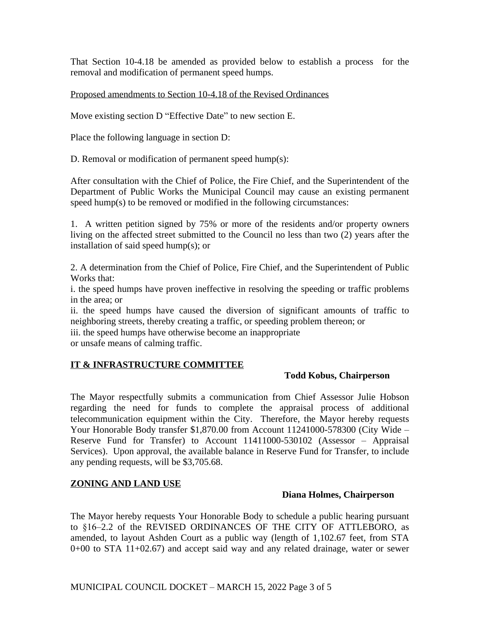That Section 10-4.18 be amended as provided below to establish a process for the removal and modification of permanent speed humps.

Proposed amendments to Section 10-4.18 of the Revised Ordinances

Move existing section D "Effective Date" to new section E.

Place the following language in section D:

D. Removal or modification of permanent speed hump(s):

After consultation with the Chief of Police, the Fire Chief, and the Superintendent of the Department of Public Works the Municipal Council may cause an existing permanent speed hump(s) to be removed or modified in the following circumstances:

1. A written petition signed by 75% or more of the residents and/or property owners living on the affected street submitted to the Council no less than two (2) years after the installation of said speed hump(s); or

2. A determination from the Chief of Police, Fire Chief, and the Superintendent of Public Works that:

i. the speed humps have proven ineffective in resolving the speeding or traffic problems in the area; or

ii. the speed humps have caused the diversion of significant amounts of traffic to neighboring streets, thereby creating a traffic, or speeding problem thereon; or

iii. the speed humps have otherwise become an inappropriate

or unsafe means of calming traffic.

# **IT & INFRASTRUCTURE COMMITTEE**

#### **Todd Kobus, Chairperson**

The Mayor respectfully submits a communication from Chief Assessor Julie Hobson regarding the need for funds to complete the appraisal process of additional telecommunication equipment within the City. Therefore, the Mayor hereby requests Your Honorable Body transfer \$1,870.00 from Account 11241000-578300 (City Wide – Reserve Fund for Transfer) to Account 11411000-530102 (Assessor – Appraisal Services). Upon approval, the available balance in Reserve Fund for Transfer, to include any pending requests, will be \$3,705.68.

# **ZONING AND LAND USE**

#### **Diana Holmes, Chairperson**

The Mayor hereby requests Your Honorable Body to schedule a public hearing pursuant to §16–2.2 of the REVISED ORDINANCES OF THE CITY OF ATTLEBORO, as amended, to layout Ashden Court as a public way (length of 1,102.67 feet, from STA 0+00 to STA 11+02.67) and accept said way and any related drainage, water or sewer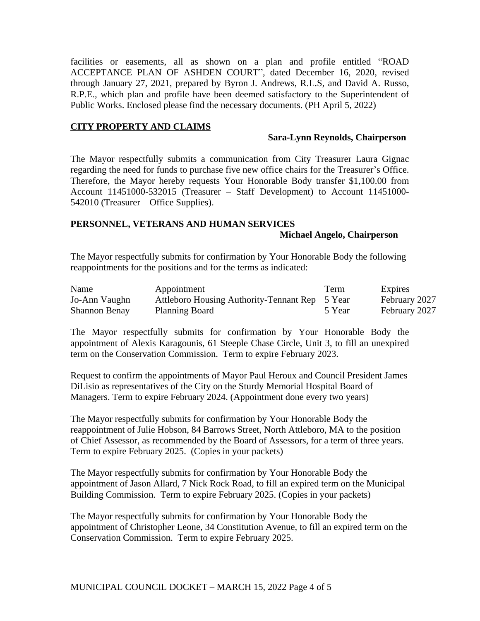facilities or easements, all as shown on a plan and profile entitled "ROAD ACCEPTANCE PLAN OF ASHDEN COURT", dated December 16, 2020, revised through January 27, 2021, prepared by Byron J. Andrews, R.L.S, and David A. Russo, R.P.E., which plan and profile have been deemed satisfactory to the Superintendent of Public Works. Enclosed please find the necessary documents. (PH April 5, 2022)

#### **CITY PROPERTY AND CLAIMS**

#### **Sara-Lynn Reynolds, Chairperson**

The Mayor respectfully submits a communication from City Treasurer Laura Gignac regarding the need for funds to purchase five new office chairs for the Treasurer's Office. Therefore, the Mayor hereby requests Your Honorable Body transfer \$1,100.00 from Account 11451000-532015 (Treasurer – Staff Development) to Account 11451000- 542010 (Treasurer – Office Supplies).

#### **PERSONNEL, VETERANS AND HUMAN SERVICES**

#### **Michael Angelo, Chairperson**

The Mayor respectfully submits for confirmation by Your Honorable Body the following reappointments for the positions and for the terms as indicated:

| <b>Name</b>          | Appointment                                    | <u>Term</u> | <b>Expires</b> |
|----------------------|------------------------------------------------|-------------|----------------|
| Jo-Ann Vaughn        | Attleboro Housing Authority-Tennant Rep 5 Year |             | February 2027  |
| <b>Shannon Benay</b> | <b>Planning Board</b>                          | 5 Year      | February 2027  |

The Mayor respectfully submits for confirmation by Your Honorable Body the appointment of Alexis Karagounis, 61 Steeple Chase Circle, Unit 3, to fill an unexpired term on the Conservation Commission. Term to expire February 2023.

Request to confirm the appointments of Mayor Paul Heroux and Council President James DiLisio as representatives of the City on the Sturdy Memorial Hospital Board of Managers. Term to expire February 2024. (Appointment done every two years)

The Mayor respectfully submits for confirmation by Your Honorable Body the reappointment of Julie Hobson, 84 Barrows Street, North Attleboro, MA to the position of Chief Assessor, as recommended by the Board of Assessors, for a term of three years. Term to expire February 2025. (Copies in your packets)

The Mayor respectfully submits for confirmation by Your Honorable Body the appointment of Jason Allard, 7 Nick Rock Road, to fill an expired term on the Municipal Building Commission. Term to expire February 2025. (Copies in your packets)

The Mayor respectfully submits for confirmation by Your Honorable Body the appointment of Christopher Leone, 34 Constitution Avenue, to fill an expired term on the Conservation Commission. Term to expire February 2025.